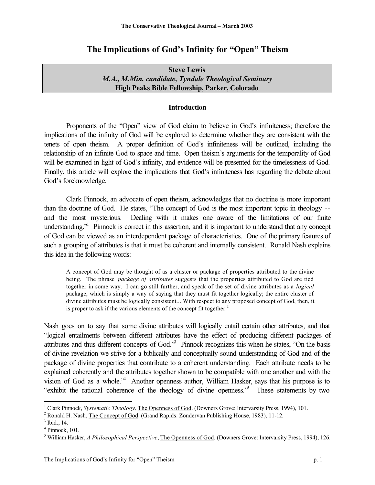# **The Implications of God's Infinity for "Open" Theism**

| <b>Steve Lewis</b>                                   |
|------------------------------------------------------|
| M.A., M.Min. candidate, Tyndale Theological Seminary |
| High Peaks Bible Fellowship, Parker, Colorado        |

### **Introduction**

Proponents of the "Open" view of God claim to believe in God's infiniteness; therefore the implications of the infinity of God will be explored to determine whether they are consistent with the tenets of open theism. A proper definition of God's infiniteness will be outlined, including the relationship of an infinite God to space and time. Open theism's arguments for the temporality of God will be examined in light of God's infinity, and evidence will be presented for the timelessness of God. Finally, this article will explore the implications that God's infiniteness has regarding the debate about God's foreknowledge.

Clark Pinnock, an advocate of open theism, acknowledges that no doctrine is more important than the doctrine of God. He states, "The concept of God is the most important topic in theology - and the most mysterious. Dealing with it makes one aware of the limitations of our finite understanding."<sup>1</sup> Pinnock is correct in this assertion, and it is important to understand that any concept of God can be viewed as an interdependent package of characteristics. One of the primary features of such a grouping of attributes is that it must be coherent and internally consistent. Ronald Nash explains this idea in the following words:

A concept of God may be thought of as a cluster or package of properties attributed to the divine being. The phrase *package of attributes* suggests that the properties attributed to God are tied together in some way. I can go still further, and speak of the set of divine attributes as a *logical* package, which is simply a way of saying that they must fit together logically; the entire cluster of divine attributes must be logically consistent....With respect to any proposed concept of God, then, it is proper to ask if the various elements of the concept fit together. $<sup>2</sup>$ </sup>

Nash goes on to say that some divine attributes will logically entail certain other attributes, and that "logical entailments between different attributes have the effect of producing different packages of attributes and thus different concepts of God.<sup>33</sup> Pinnock recognizes this when he states, "On the basis of divine revelation we strive for a biblically and conceptually sound understanding of God and of the package of divine properties that contribute to a coherent understanding. Each attribute needs to be explained coherently and the attributes together shown to be compatible with one another and with the vision of God as a whole."<sup>4</sup> Another openness author, William Hasker, says that his purpose is to "exhibit the rational coherence of the theology of divine openness." These statements by two

<sup>&</sup>lt;sup>1</sup> Clark Pinnock, *Systematic Theology*, *The Openness of God.* (Downers Grove: Intervarsity Press, 1994), 101.

<sup>&</sup>lt;sup>2</sup> Ronald H. Nash, *The Concept of God.* (Grand Rapids: Zondervan Publishing House, 1983), 11-12.

 $<sup>3</sup>$  Ibid., 14.</sup>

<sup>4</sup> Pinnock, 101.

<sup>5</sup> William Hasker, *A Philosophical Perspective*, The Openness of God. (Downers Grove: Intervarsity Press, 1994), 126.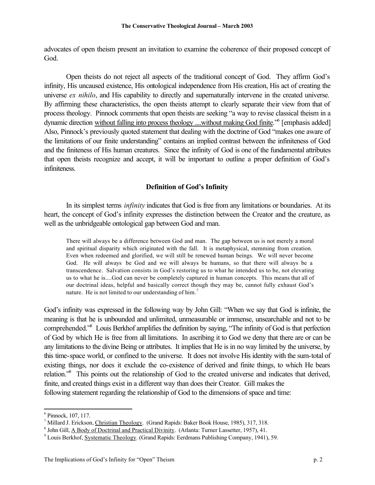advocates of open theism present an invitation to examine the coherence of their proposed concept of God.

Open theists do not reject all aspects of the traditional concept of God. They affirm God's infinity, His uncaused existence, His ontological independence from His creation, His act of creating the universe *ex nihilo*, and His capability to directly and supernaturally intervene in the created universe. By affirming these characteristics, the open theists attempt to clearly separate their view from that of process theology. Pinnock comments that open theists are seeking "a way to revise classical theism in a dynamic direction without falling into process theology ....without making God finite.<sup>56</sup> [emphasis added] Also, Pinnock's previously quoted statement that dealing with the doctrine of God "makes one aware of the limitations of our finite understanding" contains an implied contrast between the infiniteness of God and the finiteness of His human creatures. Since the infinity of God is one of the fundamental attributes that open theists recognize and accept, it will be important to outline a proper definition of God's infiniteness.

## **Definition of God's Infinity**

In its simplest terms *infinity* indicates that God is free from any limitations or boundaries. At its heart, the concept of God's infinity expresses the distinction between the Creator and the creature, as well as the unbridgeable ontological gap between God and man.

There will always be a difference between God and man. The gap between us is not merely a moral and spiritual disparity which originated with the fall. It is metaphysical, stemming from creation. Even when redeemed and glorified, we will still be renewed human beings. We will never become God. He will always be God and we will always be humans, so that there will always be a transcendence. Salvation consists in God's restoring us to what he intended us to be, not elevating us to what he is....God can never be completely captured in human concepts. This means that all of our doctrinal ideas, helpful and basically correct though they may be, cannot fully exhaust God's nature. He is not limited to our understanding of him.<sup>7</sup>

God's infinity was expressed in the following way by John Gill: "When we say that God is infinite, the meaning is that he is unbounded and unlimited, unmeasurable or immense, unsearchable and not to be comprehended."<sup>8</sup> Louis Berkhof amplifies the definition by saying, "The infinity of God is that perfection of God by which He is free from all limitations. In ascribing it to God we deny that there are or can be any limitations to the divine Being or attributes. It implies that He is in no way limited by the universe, by this time-space world, or confined to the universe. It does not involve His identity with the sum-total of existing things, nor does it exclude the co-existence of derived and finite things, to which He bears relation."<sup>9</sup> This points out the relationship of God to the created universe and indicates that derived, finite, and created things exist in a different way than does their Creator. Gill makes the following statement regarding the relationship of God to the dimensions of space and time:

<sup>6</sup> Pinnock, 107, 117.

<sup>&</sup>lt;sup>7</sup> Millard J. Erickson, Christian Theology. (Grand Rapids: Baker Book House, 1985), 317, 318.

<sup>&</sup>lt;sup>8</sup> John Gill, A Body of Doctrinal and Practical Divinity. (Atlanta: Turner Lassetter, 1957), 41.

<sup>&</sup>lt;sup>9</sup> Louis Berkhof, Systematic Theology. (Grand Rapids: Eerdmans Publishing Company, 1941), 59.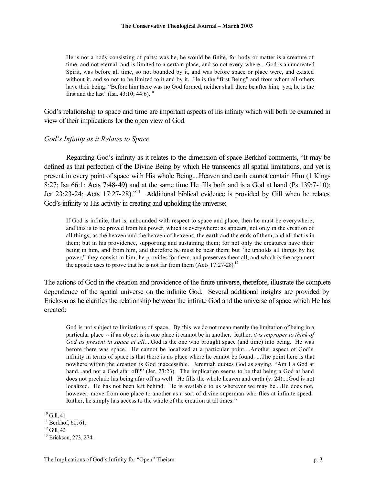He is not a body consisting of parts; was he, he would be finite, for body or matter is a creature of time, and not eternal, and is limited to a certain place, and so not every-where....God is an uncreated Spirit, was before all time, so not bounded by it, and was before space or place were, and existed without it, and so not to be limited to it and by it. He is the "first Being" and from whom all others have their being: "Before him there was no God formed, neither shall there be after him; yea, he is the first and the last" (Isa. 43:10; 44:6).<sup>10</sup>

God's relationship to space and time are important aspects of his infinity which will both be examined in view of their implications for the open view of God.

### *God's Infinity as it Relates to Space*

Regarding God's infinity as it relates to the dimension of space Berkhof comments, "It may be defined as that perfection of the Divine Being by which He transcends all spatial limitations, and yet is present in every point of space with His whole Being....Heaven and earth cannot contain Him (1 Kings 8:27; Isa 66:1; Acts 7:48-49) and at the same time He fills both and is a God at hand (Ps 139:7-10); Jer 23:23-24; Acts 17:27-28)."<sup>11</sup> Additional biblical evidence is provided by Gill when he relates God's infinity to His activity in creating and upholding the universe:

If God is infinite, that is, unbounded with respect to space and place, then he must be everywhere; and this is to be proved from his power, which is everywhere: as appears, not only in the creation of all things, as the heaven and the heaven of heavens, the earth and the ends of them, and all that is in them; but in his providence, supporting and sustaining them; for not only the creatures have their being in him, and from him, and therefore he must be near them; but "he upholds all things by his power," they consist in him, he provides for them, and preserves them all; and which is the argument the apostle uses to prove that he is not far from them  $(Acts 17:27-28).<sup>12</sup>$ 

The actions of God in the creation and providence of the finite universe, therefore, illustrate the complete dependence of the spatial universe on the infinite God. Several additional insights are provided by Erickson as he clarifies the relationship between the infinite God and the universe of space which He has created:

God is not subject to limitations of space. By this we do not mean merely the limitation of being in a particular place -- if an object is in one place it cannot be in another. Rather, *it is improper to think of God as present in space at all*....God is the one who brought space (and time) into being. He was before there was space. He cannot be localized at a particular point....Another aspect of God's infinity in terms of space is that there is no place where he cannot be found. ...The point here is that nowhere within the creation is God inaccessible. Jeremiah quotes God as saying, "Am I a God at hand...and not a God afar off?" (Jer. 23:23). The implication seems to be that being a God at hand does not preclude his being afar off as well. He fills the whole heaven and earth (v. 24)....God is not localized. He has not been left behind. He is available to us wherever we may be....He does not, however, move from one place to another as a sort of divine superman who flies at infinite speed. Rather, he simply has access to the whole of the creation at all times.<sup>13</sup>

 $10$  Gill, 41.

 $11$  Berkhof, 60, 61.

 $12$  Gill, 42.

<sup>&</sup>lt;sup>13</sup> Erickson, 273, 274.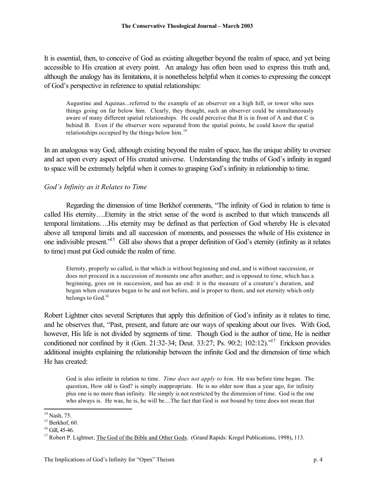It is essential, then, to conceive of God as existing altogether beyond the realm of space, and yet being accessible to His creation at every point. An analogy has often been used to express this truth and, although the analogy has its limitations, it is nonetheless helpful when it comes to expressing the concept of God's perspective in reference to spatial relationships:

Augustine and Aquinas...referred to the example of an observer on a high hill, or tower who sees things going on far below him. Clearly, they thought, such an observer could be simultaneously aware of many different spatial relationships. He could perceive that B is in front of A and that C is behind B. Even if the observer were separated from the spatial points, he could know the spatial relationships occupied by the things below him.<sup>14</sup>

In an analogous way God, although existing beyond the realm of space, has the unique ability to oversee and act upon every aspect of His created universe. Understanding the truths of God's infinity in regard to space will be extremely helpful when it comes to grasping God's infinity in relationship to time.

## *God's Infinity as it Relates to Time*

Regarding the dimension of time Berkhof comments, "The infinity of God in relation to time is called His eternity….Eternity in the strict sense of the word is ascribed to that which transcends all temporal limitations….His eternity may be defined as that perfection of God whereby He is elevated above all temporal limits and all succession of moments, and possesses the whole of His existence in one indivisible present."<sup>15</sup> Gill also shows that a proper definition of God's eternity (infinity as it relates to time) must put God outside the realm of time.

Eternity, properly so called, is that which is without beginning and end, and is without succession, or does not proceed in a succession of moments one after another; and is opposed to time, which has a beginning, goes on in succession, and has an end: it is the measure of a creature's duration, and began when creatures began to be and not before, and is proper to them, and not eternity which only belongs to God.<sup>16</sup>

Robert Lightner cites several Scriptures that apply this definition of God's infinity as it relates to time, and he observes that, "Past, present, and future are our ways of speaking about our lives. With God, however, His life is not divided by segments of time. Though God is the author of time, He is neither conditioned nor confined by it (Gen. 21:32-34; Deut. 33:27; Ps. 90:2; 102:12)."<sup>17</sup> Erickson provides additional insights explaining the relationship between the infinite God and the dimension of time which He has created:

God is also infinite in relation to time. *Time does not apply to him*. He was before time began. The question, How old is God? is simply inappropriate. He is no older now than a year ago, for infinity plus one is no more than infinity. He simply is not restricted by the dimension of time. God is the one who always is. He was, he is, he will be....The fact that God is not bound by time does not mean that

 $\overline{a}$  $14$  Nash, 75.

 $15$  Berkhof, 60.

 $16$  Gill, 45-46.

<sup>&</sup>lt;sup>17</sup> Robert P. Lightner, The God of the Bible and Other Gods. (Grand Rapids: Kregel Publications, 1998), 113.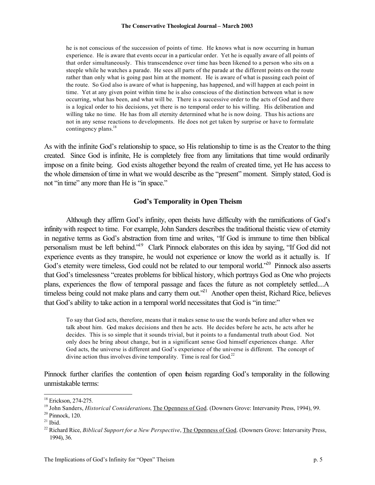he is not conscious of the succession of points of time. He knows what is now occurring in human experience. He is aware that events occur in a particular order. Yet he is equally aware of all points of that order simultaneously. This transcendence over time has been likened to a person who sits on a steeple while he watches a parade. He sees all parts of the parade at the different points on the route rather than only what is going past him at the moment. He is aware of what is passing each point of the route. So God also is aware of what is happening, has happened, and will happen at each point in time. Yet at any given point within time he is also conscious of the distinction between what is now occurring, what has been, and what will be. There is a successive order to the acts of God and there is a logical order to his decisions, yet there is no temporal order to his willing. His deliberation and willing take no time. He has from all eternity determined what he is now doing. Thus his actions are not in any sense reactions to developments. He does not get taken by surprise or have to formulate contingency plans.<sup>18</sup>

As with the infinite God's relationship to space, so His relationship to time is as the Creator to the thing created. Since God is infinite, He is completely free from any limitations that time would ordinarily impose on a finite being. God exists altogether beyond the realm of created time, yet He has access to the whole dimension of time in what we would describe as the "present" moment. Simply stated, God is not "in time" any more than He is "in space."

## **God's Temporality in Open Theism**

Although they affirm God's infinity, open theists have difficulty with the ramifications of God's infinity with respect to time. For example, John Sanders describes the traditional theistic view of eternity in negative terms as God's abstraction from time and writes, "If God is immune to time then biblical personalism must be left behind."<sup>19</sup> Clark Pinnock elaborates on this idea by saying, "If God did not experience events as they transpire, he would not experience or know the world as it actually is. If God's eternity were timeless, God could not be related to our temporal world.<sup>520</sup> Pinnock also asserts that God's timelessness "creates problems for biblical history, which portrays God as One who projects plans, experiences the flow of temporal passage and faces the future as not completely settled....A timeless being could not make plans and carry them out.<sup>221</sup> Another open theist, Richard Rice, believes that God's ability to take action in a temporal world necessitates that God is "in time:"

To say that God acts, therefore, means that it makes sense to use the words before and after when we talk about him. God makes decisions and then he acts. He decides before he acts, he acts after he decides. This is so simple that it sounds trivial, but it points to a fundamental truth about God. Not only does he bring about change, but in a significant sense God himself experiences change. After God acts, the universe is different and God's experience of the universe is different. The concept of divine action thus involves divine temporality. Time is real for God. $22$ 

Pinnock further clarifies the contention of open theism regarding God's temporality in the following unmistakable terms:

<sup>&</sup>lt;sup>18</sup> Erickson, 274-275.

<sup>&</sup>lt;sup>19</sup> John Sanders, *Historical Considerations*, *The Openness of God.* (Downers Grove: Intervarsity Press, 1994), 99.

<sup>20</sup> Pinnock, 120.

 $21$  Ibid.

<sup>22</sup> Richard Rice, *Biblical Support for a New Perspective*, The Openness of God. (Downers Grove: Intervarsity Press, 1994), 36.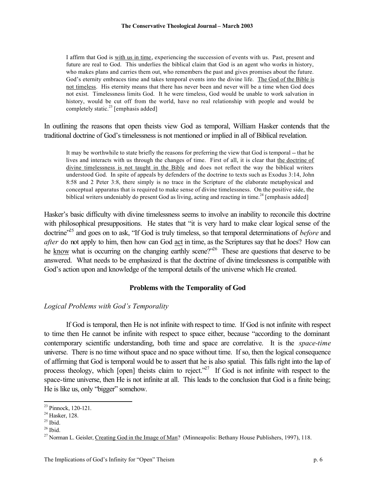I affirm that God is with us in time, experiencing the succession of events with us. Past, present and future are real to God. This underlies the biblical claim that God is an agent who works in history, who makes plans and carries them out, who remembers the past and gives promises about the future. God's eternity embraces time and takes temporal events into the divine life. The God of the Bible is not timeless. His eternity means that there has never been and never will be a time when God does not exist. Timelessness limits God. It he were timeless, God would be unable to work salvation in history, would be cut off from the world, have no real relationship with people and would be completely static.<sup>23</sup> [emphasis added]

In outlining the reasons that open theists view God as temporal, William Hasker contends that the traditional doctrine of God's timelessness is not mentioned or implied in all of Biblical revelation.

It may be worthwhile to state briefly the reasons for preferring the view that God is temporal -- that he lives and interacts with us through the changes of time. First of all, it is clear that the doctrine of divine timelessness is not taught in the Bible and does not reflect the way the biblical writers understood God. In spite of appeals by defenders of the doctrine to texts such as Exodus 3:14, John 8:58 and 2 Peter 3:8, there simply is no trace in the Scripture of the elaborate metaphysical and conceptual apparatus that is required to make sense of divine timelessness. On the positive side, the biblical writers undeniably do present God as living, acting and reacting in time.<sup>24</sup> [emphasis added]

Hasker's basic difficulty with divine timelessness seems to involve an inability to reconcile this doctrine with philosophical presuppositions. He states that "it is very hard to make clear logical sense of the doctrine"<sup>25</sup> and goes on to ask, "If God is truly timeless, so that temporal determinations of *before* and *after* do not apply to him, then how can God act in time, as the Scriptures say that he does? How can he know what is occurring on the changing earthly scene?<sup>26</sup> These are questions that deserve to be answered. What needs to be emphasized is that the doctrine of divine timelessness is compatible with God's action upon and knowledge of the temporal details of the universe which He created.

### **Problems with the Temporality of God**

## *Logical Problems with God's Temporality*

If God is temporal, then He is not infinite with respect to time. If God is not infinite with respect to time then He cannot be infinite with respect to space either, because "according to the dominant contemporary scientific understanding, both time and space are correlative. It is the *space-time* universe. There is no time without space and no space without time. If so, then the logical consequence of affirming that God is temporal would be to assert that he is also spatial. This falls right into the lap of process theology, which [open] theists claim to reject.<sup> $27$ </sup> If God is not infinite with respect to the space-time universe, then He is not infinite at all. This leads to the conclusion that God is a finite being; He is like us, only "bigger" somehow.

<sup>23</sup> Pinnock, 120-121.

<sup>24</sup> Hasker, 128.

 $25$  Ibid.

 $26$  Ibid.

<sup>&</sup>lt;sup>27</sup> Norman L. Geisler, Creating God in the Image of Man? (Minneapolis: Bethany House Publishers, 1997), 118.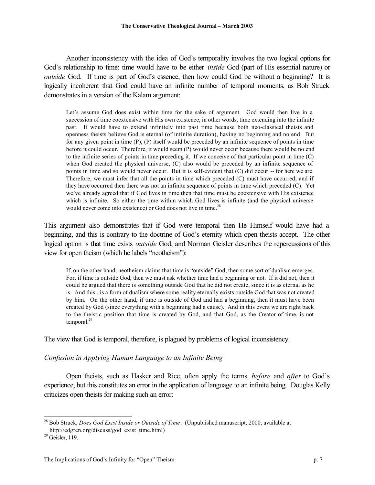Another inconsistency with the idea of God's temporality involves the two logical options for God's relationship to time: time would have to be either *inside* God (part of His essential nature) or *outside* God. If time is part of God's essence, then how could God be without a beginning? It is logically incoherent that God could have an infinite number of temporal moments, as Bob Struck demonstrates in a version of the Kalam argument:

Let's assume God does exist within time for the sake of argument. God would then live in a succession of time coextensive with His own existence, in other words, time extending into the infinite past. It would have to extend infinitely into past time because both neo-classical theists and openness theists believe God is eternal (of infinite duration), having no beginning and no end. But for any given point in time (P), (P) itself would be preceded by an infinite sequence of points in time before it could occur. Therefore, it would seem (P) would never occur because there would be no end to the infinite series of points in time preceding it. If we conceive of that particular point in time (C) when God created the physical universe, (C) also would be preceded by an infinite sequence of points in time and so would never occur. But it is self-evident that (C) did occur -- for here we are. Therefore, we must infer that all the points in time which preceded (C) must have occurred; and if they have occurred then there was not an infinite sequence of points in time which preceded (C). Yet we've already agreed that if God lives in time then that time must be coextensive with His existence which is infinite. So either the time within which God lives is infinite (and the physical universe would never come into existence) or God does not live in time.<sup>28</sup>

This argument also demonstrates that if God were temporal then He Himself would have had a beginning, and this is contrary to the doctrine of God's eternity which open theists accept. The other logical option is that time exists *outside* God, and Norman Geisler describes the repercussions of this view for open theism (which he labels "neotheism"):

If, on the other hand, neotheism claims that time is "outside" God, then some sort of dualism emerges. For, if time is outside God, then we must ask whether time had a beginning or not. If it did not, then it could be argued that there is something outside God that he did not create, since it is as eternal as he is. And this...is a form of dualism where some reality eternally exists outside God that was not created by him. On the other hand, if time is outside of God and had a beginning, then it must have been created by God (since everything with a beginning had a cause). And in this event we are right back to the theistic position that time is created by God, and that God, as the Creator of time, is not temporal. $^{29}$ 

The view that God is temporal, therefore, is plagued by problems of logical inconsistency.

## *Confusion in Applying Human Language to an Infinite Being*

Open theists, such as Hasker and Rice, often apply the terms *before* and *after* to God's experience, but this constitutes an error in the application of language to an infinite being. Douglas Kelly criticizes open theists for making such an error:

<sup>28</sup> Bob Struck, *Does God Exist Inside or Outside of Time*. (Unpublished manuscript, 2000, available at http://edgren.org/discuss/god\_exist\_time.html)

<sup>29</sup> Geisler, 119.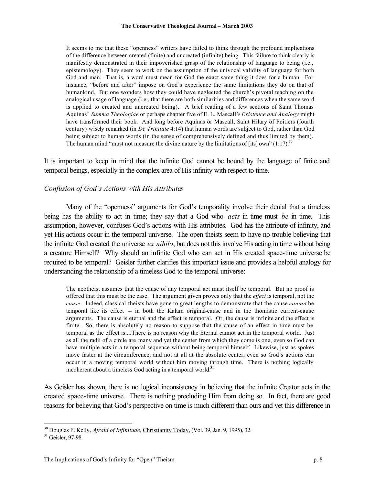#### **The Conservative Theological Journal – March 2003**

It seems to me that these "openness" writers have failed to think through the profound implications of the difference between created (finite) and uncreated (infinite) being. This failure to think clearly is manifestly demonstrated in their impoverished grasp of the relationship of language to being (i.e., epistemology). They seem to work on the assumption of the univocal validity of language for both God and man. That is, a word must mean for God the exact same thing it does for a human. For instance, "before and after" impose on God's experience the same limitations they do on that of humankind. But one wonders how they could have neglected the church's pivotal teaching on the analogical usage of language (i.e., that there are both similarities and differences when the same word is applied to created and uncreated being). A brief reading of a few sections of Saint Thomas Aquinas' *Summa Theologiae* or perhaps chapter five of E. L. Mascall's *Existence and Analogy* might have transformed their book. And long before Aquinas or Mascall, Saint Hilary of Poitiers (fourth century) wisely remarked (in *De Trinitate* 4:14) that human words are subject to God, rather than God being subject to human words (in the sense of comprehensively defined and thus limited by them). The human mind "must not measure the divine nature by the limitations of [its] own"  $(1.17)$ .<sup>30</sup>

It is important to keep in mind that the infinite God cannot be bound by the language of finite and temporal beings, especially in the complex area of His infinity with respect to time.

## *Confusion of God's Actions with His Attributes*

Many of the "openness" arguments for God's temporality involve their denial that a timeless being has the ability to act in time; they say that a God who *acts* in time must *be* in time. This assumption, however, confuses God's actions with His attributes. God has the attribute of infinity, and yet His actions occur in the temporal universe. The open theists seem to have no trouble believing that the infinite God created the universe *ex nihilo*, but does not this involve His acting in time without being a creature Himself? Why should an infinite God who can act in His created space-time universe be required to be temporal? Geisler further clarifies this important issue and provides a helpful analogy for understanding the relationship of a timeless God to the temporal universe:

The neotheist assumes that the cause of any temporal act must itself be temporal. But no proof is offered that this must be the case. The argument given proves only that the *effect* is temporal, not the *cause*. Indeed, classical theists have gone to great lengths to demonstrate that the cause *cannot* be temporal like its effect -- in both the Kalam original-cause and in the thomistic current-cause arguments. The cause is eternal and the effect is temporal. Or, the cause is infinite and the effect is finite. So, there is absolutely no reason to suppose that the cause of an effect in time must be temporal as the effect is....There is no reason why the Eternal cannot act in the temporal world. Just as all the radii of a circle are many and yet the center from which they come is one, even so God can have multiple acts in a temporal sequence without being temporal himself. Likewise, just as spokes move faster at the circumference, and not at all at the absolute center, even so God's actions can occur in a moving temporal world without him moving through time. There is nothing logically incoherent about a timeless God acting in a temporal world. $31$ 

As Geisler has shown, there is no logical inconsistency in believing that the infinite Creator acts in the created space-time universe. There is nothing precluding Him from doing so. In fact, there are good reasons for believing that God's perspective on time is much different than ours and yet this difference in

<sup>30</sup> Douglas F. Kelly, *Afraid of Infinitude*, Christianity Today, (Vol. 39, Jan. 9, 1995), 32.

<sup>&</sup>lt;sup>31</sup> Geisler, 97-98.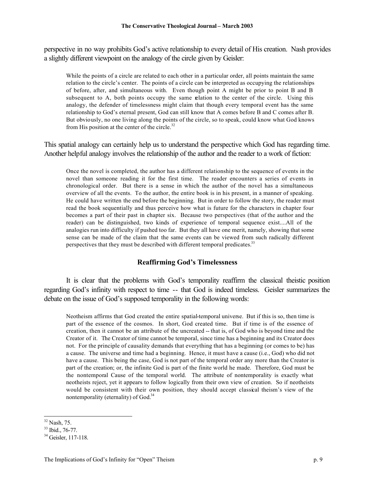perspective in no way prohibits God's active relationship to every detail of His creation. Nash provides a slightly different viewpoint on the analogy of the circle given by Geisler:

While the points of a circle are related to each other in a particular order, all points maintain the same relation to the circle's center. The points of a circle can be interpreted as occupying the relationships of before, after, and simultaneous with. Even though point A might be prior to point B and B subsequent to A, both points occupy the same relation to the center of the circle. Using this analogy, the defender of timelessness might claim that though every temporal event has the same relationship to God's eternal present, God can still know that A comes before B and C comes after B. But obviously, no one living along the points of the circle, so to speak, could know what God knows from His position at the center of the circle. $32$ 

This spatial analogy can certainly help us to understand the perspective which God has regarding time. Another helpful analogy involves the relationship of the author and the reader to a work of fiction:

Once the novel is completed, the author has a different relationship to the sequence of events in the novel than someone reading it for the first time. The reader encounters a series of events in chronological order. But there is a sense in which the author of the novel has a simultaneous overview of all the events. To the author, the entire book is in his present, in a manner of speaking. He could have written the end before the beginning. But in order to follow the story, the reader must read the book sequentially and thus perceive how what is future for the characters in chapter four becomes a part of their past in chapter six. Because two perspectives (that of the author and the reader) can be distinguished, two kinds of experience of temporal sequence exist....All of the analogies run into difficulty if pushed too far. But they all have one merit, namely, showing that some sense can be made of the claim that the same events can be viewed from such radically different perspectives that they must be described with different temporal predicates.<sup>33</sup>

## **Reaffirming God's Timelessness**

It is clear that the problems with God's temporality reaffirm the classical theistic position regarding God's infinity with respect to time -- that God is indeed timeless. Geisler summarizes the debate on the issue of God's supposed temporality in the following words:

Neotheism affirms that God created the entire spatial-temporal universe. But if this is so, then time is part of the essence of the cosmos. In short, God created time. But if time is of the essence of creation, then it cannot be an attribute of the uncreated -- that is, of God who is beyond time and the Creator of it. The Creator of time cannot be temporal, since time has a beginning and its Creator does not. For the principle of causality demands that everything that has a beginning (or comes to be) has a cause. The universe and time had a beginning. Hence, it must have a cause (i.e., God) who did not have a cause. This being the case, God is not part of the temporal order any more than the Creator is part of the creation; or, the infinite God is part of the finite world he made. Therefore, God must be the nontemporal Cause of the temporal world. The attribute of nontemporality is exactly what neotheists reject, yet it appears to follow logically from their own view of creation. So if neotheists would be consistent with their own position, they should accept classical theism's view of the nontemporality (eternality) of God.<sup>34</sup>

 $32$  Nash, 75.

<sup>33</sup> Ibid., 76-77.

<sup>34</sup> Geisler, 117-118.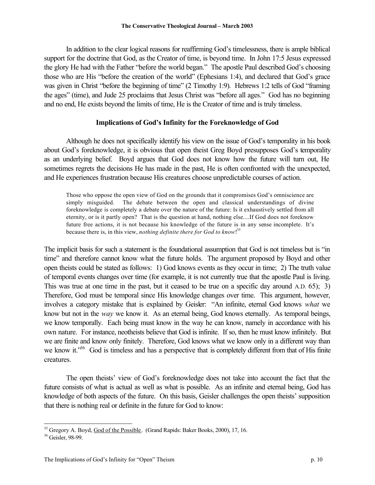#### **The Conservative Theological Journal – March 2003**

In addition to the clear logical reasons for reaffirming God's timelessness, there is ample biblical support for the doctrine that God, as the Creator of time, is beyond time. In John 17:5 Jesus expressed the glory He had with the Father "before the world began." The apostle Paul described God's choosing those who are His "before the creation of the world" (Ephesians 1:4), and declared that God's grace was given in Christ "before the beginning of time" (2 Timothy 1:9). Hebrews 1:2 tells of God "framing" the ages" (time), and Jude 25 proclaims that Jesus Christ was "before all ages." God has no beginning and no end, He exists beyond the limits of time, He is the Creator of time and is truly timeless.

### **Implications of God's Infinity for the Foreknowledge of God**

Although he does not specifically identify his view on the issue of God's temporality in his book about God's foreknowledge, it is obvious that open theist Greg Boyd presupposes God's temporality as an underlying belief. Boyd argues that God does not know how the future will turn out, He sometimes regrets the decisions He has made in the past, He is often confronted with the unexpected, and He experiences frustration because His creatures choose unpredictable courses of action.

Those who oppose the open view of God on the grounds that it compromises God's omniscience are simply misguided. The debate between the open and classical understandings of divine foreknowledge is completely a debate over the nature of the future: Is it exhaustively settled from all eternity, or is it partly open? That is the question at hand, nothing else....If God does not foreknow future free actions, it is not because his knowledge of the future is in any sense incomplete. It's because there is, in this view, *nothing definite there for God to know*! 35

The implicit basis for such a statement is the foundational assumption that God is not timeless but is "in time" and therefore cannot know what the future holds. The argument proposed by Boyd and other open theists could be stated as follows: 1) God knows events as they occur in time; 2) The truth value of temporal events changes over time (for example, it is not currently true that the apostle Paul is living. This was true at one time in the past, but it ceased to be true on a specific day around A.D. 65); 3) Therefore, God must be temporal since His knowledge changes over time. This argument, however, involves a category mistake that is explained by Geisler: "An infinite, eternal God knows *what* we know but not in the *way* we know it. As an eternal being, God knows eternally. As temporal beings, we know temporally. Each being must know in the way he can know, namely in accordance with his own nature. For instance, neotheists believe that God is infinite. If so, then he must know infinitely. But we are finite and know only finitely. Therefore, God knows what we know only in a different way than we know it."<sup>36</sup> God is timeless and has a perspective that is completely different from that of His finite creatures.

The open theists' view of God's foreknowledge does not take into account the fact that the future consists of what is actual as well as what is possible. As an infinite and eternal being, God has knowledge of both aspects of the future. On this basis, Geisler challenges the open theists' supposition that there is nothing real or definite in the future for God to know:

<sup>&</sup>lt;sup>35</sup> Gregory A. Boyd, God of the Possible. (Grand Rapids: Baker Books, 2000), 17, 16.

<sup>36</sup> Geisler, 98-99.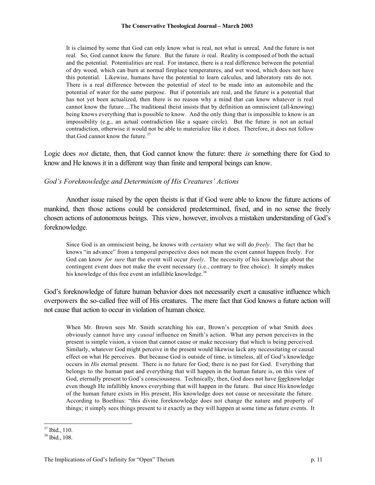It is claimed by some that God can only know what is real, not what is unreal. And the future is not real. So, God cannot know the future. But the future *is* real. Reality is composed of both the actual and the potential. Potentialities are real. For instance, there is a real difference between the potential of dry wood, which can burn at normal fireplace temperatures, and wet wood, which does not have this potential. Likewise, humans have the potential to learn calculus, and laboratory rats do not. There is a real difference between the potential of steel to be made into an automobile and the potential of water for the same purpose. But if potentials are real, and the future is a potential that has not yet been actualized, then there is no reason why a mind that can know whatever is real cannot know the future....The traditional theist insists that by definition an omniscient (all-knowing) being knows everything that is possible to know. And the only thing that is impossible to know is an impossibility (e.g., an actual contradiction like a square circle). But the future is not an actual contradiction, otherwise it would not be able to materialize like it does. Therefore, it does not follow that God cannot know the future  $37$ 

Logic does *not* dictate, then, that God cannot know the future: there *is* something there for God to know and He knows it in a different way than finite and temporal beings can know.

### *God's Foreknowledge and Determinism of His Creatures' Actions*

Another issue raised by the open theists is that if God were able to know the future actions of mankind, then those actions could be considered predetermined, fixed, and in no sense the freely chosen actions of autonomous beings. This view, however, involves a mistaken understanding of God's foreknowledge.

Since God is an omniscient being, he knows with *certainty* what we will do *freely*. The fact that he knows "in advance" from a temporal perspective does not mean the event cannot happen freely. For God can know *for sure* that the event will occur *freely*. The necessity of his knowledge about the contingent event does not make the event necessary (i.e., contrary to free choice). It simply makes his knowledge of this free event an infallible knowledge.<sup>38</sup>

God's foreknowledge of future human behavior does not necessarily exert a causative influence which overpowers the so-called free will of His creatures. The mere fact that God knows a future action will not cause that action to occur in violation of human choice.

When Mr. Brown sees Mr. Smith scratching his ear, Brown's perception of what Smith does obviously cannot have any *causal* influence on Smith's action. What any person perceives in the present is simple vision, a vision that cannot cause or make necessary that which is being perceived. Similarly, whatever God might perceive in the present would likewise lack any necessitating or causal effect on what He perceives. But because God is outside of time, is timeless, all of God's knowledge occurs in *His* eternal present. There is no future for God; there is no past for God. Everything that belongs to the human past and everything that will happen in the human future is, on this view of God, eternally present to God's consciousness. Technically, then, God does not have foreknowledge even though He infallibly knows everything that will happen in the future. But since His knowledge of the human future exists in His present, His knowledge does not cause or necessitate the future. According to Boethius: "this divine foreknowledge does not change the nature and property of things; it simply sees things present to it exactly as they will happen at some time as future events. It

 $37$  Ibid., 110.

<sup>38</sup> Ibid., 108.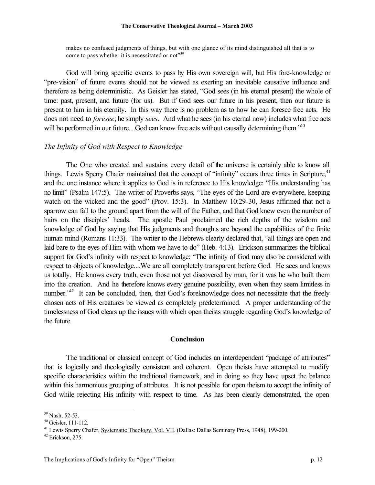#### **The Conservative Theological Journal – March 2003**

makes no confused judgments of things, but with one glance of its mind distinguished all that is to come to pass whether it is necessitated or not<sup>339</sup>

God will bring specific events to pass by His own sovereign will, but His fore-knowledge or "pre-vision" of future events should not be viewed as exerting an inevitable causative influence and therefore as being deterministic. As Geisler has stated, "God sees (in his eternal present) the whole of time: past, present, and future (for us). But if God sees our future in his present, then our future is present to him in his eternity. In this way there is no problem as to how he can foresee free acts. He does not need to *foresee*; he simply *sees*. And what he sees (in his eternal now) includes what free acts will be performed in our future....God can know free acts without causally determining them.<sup>540</sup>

### *The Infinity of God with Respect to Knowledge*

The One who created and sustains every detail of the universe is certainly able to know all things. Lewis Sperry Chafer maintained that the concept of "infinity" occurs three times in Scripture,<sup>41</sup> and the one instance where it applies to God is in reference to His knowledge: "His understanding has no limit" (Psalm 147:5). The writer of Proverbs says, "The eyes of the Lord are everywhere, keeping watch on the wicked and the good" (Prov. 15:3). In Matthew 10:29-30, Jesus affirmed that not a sparrow can fall to the ground apart from the will of the Father, and that God knew even the number of hairs on the disciples' heads. The apostle Paul proclaimed the rich depths of the wisdom and knowledge of God by saying that His judgments and thoughts are beyond the capabilities of the finite human mind (Romans 11:33). The writer to the Hebrews clearly declared that, "all things are open and laid bare to the eyes of Him with whom we have to do" (Heb. 4:13). Erickson summarizes the biblical support for God's infinity with respect to knowledge: "The infinity of God may also be considered with respect to objects of knowledge....We are all completely transparent before God. He sees and knows us totally. He knows every truth, even those not yet discovered by man, for it was he who built them into the creation. And he therefore knows every genuine possibility, even when they seem limitless in number."<sup>42</sup> It can be concluded, then, that God's foreknowledge does not necessitate that the freely chosen acts of His creatures be viewed as completely predetermined. A proper understanding of the timelessness of God clears up the issues with which open theists struggle regarding God's knowledge of the future.

#### **Conclusion**

The traditional or classical concept of God includes an interdependent "package of attributes" that is logically and theologically consistent and coherent. Open theists have attempted to modify specific characteristics within the traditional framework, and in doing so they have upset the balance within this harmonious grouping of attributes. It is not possible for open theism to accept the infinity of God while rejecting His infinity with respect to time. As has been clearly demonstrated, the open

<sup>39</sup> Nash, 52-53.

<sup>40</sup> Geisler, 111-112.

<sup>41</sup> Lewis Sperry Chafer, Systematic Theology, Vol. VII. (Dallas: Dallas Seminary Press, 1948), 199-200.

 $42$  Erickson, 275.